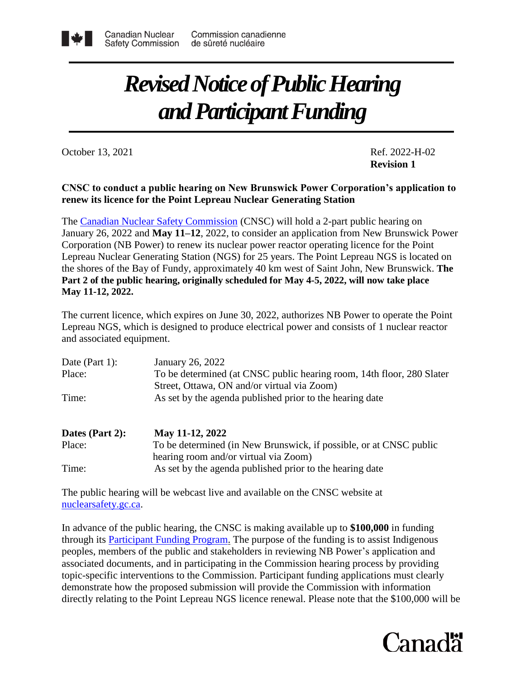

## *Revised Notice of Public Hearing and Participant Funding*

October 13, 2021 Ref. 2022-H-02

**Revision 1**

## **CNSC to conduct a public hearing on New Brunswick Power Corporation's application to renew its licence for the Point Lepreau Nuclear Generating Station**

The [Canadian Nuclear Safety Commission](http://www.nuclearsafety.gc.ca/eng/) (CNSC) will hold a 2-part public hearing on January 26, 2022 and **May 11–12**, 2022, to consider an application from New Brunswick Power Corporation (NB Power) to renew its nuclear power reactor operating licence for the Point Lepreau Nuclear Generating Station (NGS) for 25 years. The Point Lepreau NGS is located on the shores of the Bay of Fundy, approximately 40 km west of Saint John, New Brunswick. **The Part 2 of the public hearing, originally scheduled for May 4-5, 2022, will now take place May 11-12, 2022.**

The current licence, which expires on June 30, 2022, authorizes NB Power to operate the Point Lepreau NGS, which is designed to produce electrical power and consists of 1 nuclear reactor and associated equipment.

| Date (Part 1): | January 26, 2022                                                      |
|----------------|-----------------------------------------------------------------------|
| Place:         | To be determined (at CNSC public hearing room, 14th floor, 280 Slater |
|                | Street, Ottawa, ON and/or virtual via Zoom)                           |
| Time:          | As set by the agenda published prior to the hearing date              |
|                |                                                                       |

| Dates (Part 2): | May 11-12, 2022                                                    |
|-----------------|--------------------------------------------------------------------|
| Place:          | To be determined (in New Brunswick, if possible, or at CNSC public |
|                 | hearing room and/or virtual via Zoom)                              |
| Time:           | As set by the agenda published prior to the hearing date           |

The public hearing will be webcast live and available on the CNSC website at [nuclearsafety.gc.ca.](http://www.nuclearsafety.gc.ca/eng/)

In advance of the public hearing, the CNSC is making available up to **\$100,000** in funding through its [Participant Funding Program.](http://www.nuclearsafety.gc.ca/eng/the-commission/participant-funding-program/opportunities/index.cfm) The purpose of the funding is to assist Indigenous peoples, members of the public and stakeholders in reviewing NB Power's application and associated documents, and in participating in the Commission hearing process by providing topic-specific interventions to the Commission. Participant funding applications must clearly demonstrate how the proposed submission will provide the Commission with information directly relating to the Point Lepreau NGS licence renewal. Please note that the \$100,000 will be